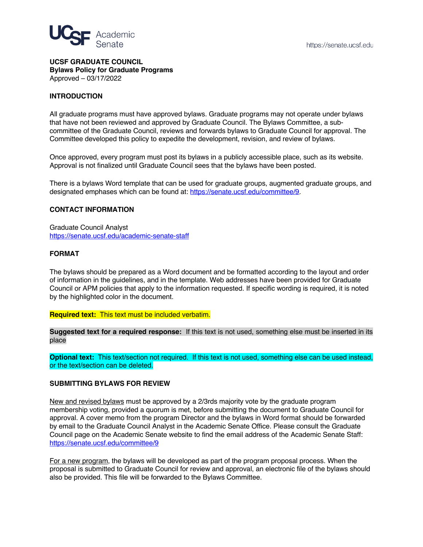

**UCSF GRADUATE COUNCIL Bylaws Policy for Graduate Programs** Approved – 03/17/2022

### **INTRODUCTION**

All graduate programs must have approved bylaws. Graduate programs may not operate under bylaws that have not been reviewed and approved by Graduate Council. The Bylaws Committee, a subcommittee of the Graduate Council, reviews and forwards bylaws to Graduate Council for approval. The Committee developed this policy to expedite the development, revision, and review of bylaws.

Once approved, every program must post its bylaws in a publicly accessible place, such as its website. Approval is not finalized until Graduate Council sees that the bylaws have been posted.

There is a bylaws Word template that can be used for graduate groups, augmented graduate groups, and designated emphases which can be found at: https://senate.ucsf.edu/committee/[9.](https://senate.ucsf.edu/committee/9) 

### **[CONTACT INFORMATION](https://senate.ucsf.edu/committee/9)**

[Graduate Co](https://senate.ucsf.edu/committee/9)uncil Analyst https://senate.ucsf.edu/academic-senate-staf[f](https://senate.ucsf.edu/academic-senate-staff)

### **[FORMAT](https://senate.ucsf.edu/academic-senate-staff)**

[The bylaws should be prepared as a W](https://senate.ucsf.edu/academic-senate-staff)ord document and be formatted according to the layout and order of information in the guidelines, and in the template. Web addresses have been provided for Graduate Council or APM policies that apply to the information requested. If specific wording is required, it is noted by the highlighted color in the document.

**Required text:** This text must be included verbatim.

**Suggested text for a required response:** If this text is not used, something else must be inserted in its place

**Optional text:** This text/section not required. If this text is not used, something else can be used instead, or the text/section can be deleted.

# **SUBMITTING BYLAWS FOR REVIEW**

New and revised bylaws must be approved by a 2/3rds majority vote by the graduate program membership voting, provided a quorum is met, before submitting the document to Graduate Council for approval. A cover memo from the program Director and the bylaws in Word format should be forwarded by email to the Graduate Council Analyst in the Academic Senate Office. Please consult the Graduate Council page on the Academic Senate website to find the email address of the Academic Senate Staff: https://senate.ucsf.edu/committee/[9](https://senate.ucsf.edu/committee/9)

[For a new program, the bylaws wil](https://senate.ucsf.edu/committee/9)l be developed as part of the program proposal process. When the proposal is submitted to Graduate Council for review and approval, an electronic file of the bylaws should also be provided. This file will be forwarded to the Bylaws Committee.